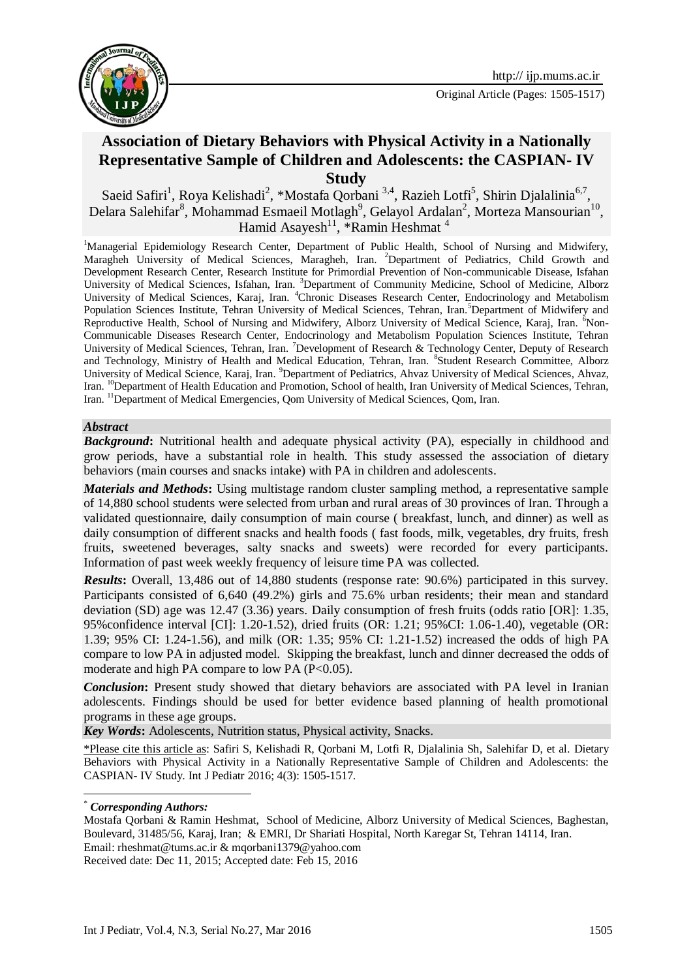

# **Association of Dietary Behaviors with Physical Activity in a Nationally Representative Sample of Children and Adolescents: the CASPIAN- IV Study**

Saeid Safiri<sup>1</sup>, Roya Kelishadi<sup>2</sup>, \*Mostafa Qorbani<sup>3,4</sup>, Razieh Lotfi<sup>5</sup>, Shirin Djalalinia<sup>6,7</sup>, Delara Salehifar $^8$ , Mohammad Esmaeil Motlagh $^9$ , Gelayol Ardalan $^2$ , Morteza Mansourian $^{10}$ , Hamid Asayesh<sup>11</sup>, \*Ramin Heshmat<sup>4</sup>

<sup>1</sup>Managerial Epidemiology Research Center, Department of Public Health, School of Nursing and Midwifery, Maragheh University of Medical Sciences, Maragheh, Iran. <sup>2</sup>Department of Pediatrics, Child Growth and Development Research Center, Research Institute for Primordial Prevention of Non-communicable Disease, Isfahan University of Medical Sciences, Isfahan, Iran. 3Department of Community Medicine, School of Medicine, Alborz University of Medical Sciences, Karaj, Iran. <sup>4</sup>Chronic Diseases Research Center, Endocrinology and Metabolism Population Sciences Institute, Tehran University of Medical Sciences, Tehran, Iran.<sup>5</sup>Department of Midwifery and Reproductive Health, School of Nursing and Midwifery, Alborz University of Medical Science, Karaj, Iran. <sup>6</sup>Non-Communicable Diseases Research Center, Endocrinology and Metabolism Population Sciences Institute, Tehran University of Medical Sciences, Tehran, Iran. <sup>7</sup>Development of Research & Technology Center, Deputy of Research and Technology, Ministry of Health and Medical Education, Tehran, Iran. <sup>8</sup>Student Research Committee, Alborz University of Medical Science, Karaj, Iran. <sup>9</sup>Department of Pediatrics, Ahvaz University of Medical Sciences, Ahvaz, Iran. <sup>10</sup>Department of Health Education and Promotion, School of health, Iran University of Medical Sciences, Tehran, Iran. <sup>11</sup>Department of Medical Emergencies, Qom University of Medical Sciences, Qom, Iran.

#### *Abstract*

*Background***:** Nutritional health and adequate physical activity (PA), especially in childhood and grow periods, have a substantial role in health. This study assessed the association of dietary behaviors (main courses and snacks intake) with PA in children and adolescents.

*Materials and Methods***:** Using multistage random cluster sampling method, a representative sample of 14,880 school students were selected from urban and rural areas of 30 provinces of Iran. Through a validated questionnaire, daily consumption of main course ( breakfast, lunch, and dinner) as well as daily consumption of different snacks and health foods ( fast foods, milk, vegetables, dry fruits, fresh fruits, sweetened beverages, salty snacks and sweets) were recorded for every participants. Information of past week weekly frequency of leisure time PA was collected.

*Results*: Overall, 13,486 out of 14,880 students (response rate: 90.6%) participated in this survey. Participants consisted of 6,640 (49.2%) girls and 75.6% urban residents; their mean and standard deviation (SD) age was 12.47 (3.36) years. Daily consumption of fresh fruits (odds ratio [OR]: 1.35, 95%confidence interval [CI]: 1.20-1.52), dried fruits (OR: 1.21; 95%CI: 1.06-1.40), vegetable (OR: 1.39; 95% CI: 1.24-1.56), and milk (OR: 1.35; 95% CI: 1.21-1.52) increased the odds of high PA compare to low PA in adjusted model. Skipping the breakfast, lunch and dinner decreased the odds of moderate and high PA compare to low PA  $(P<0.05)$ .

**Conclusion:** Present study showed that dietary behaviors are associated with PA level in Iranian adolescents. Findings should be used for better evidence based planning of health promotional programs in these age groups.

*Key Words***:** Adolescents, Nutrition status, Physical activity, Snacks.

\*Please cite this article as: Safiri S, Kelishadi R, Qorbani M, Lotfi R, Djalalinia Sh, Salehifar D, et al. Dietary Behaviors with Physical Activity in a Nationally Representative Sample of Children and Adolescents: the CASPIAN- IV Study. Int J Pediatr 2016; 4(3): 1505-1517.

1

Received date: Dec 11, 2015; Accepted date: Feb 15, 2016

<sup>\*</sup> *Corresponding Authors:*

Mostafa Qorbani & Ramin Heshmat, School of Medicine, Alborz University of Medical Sciences, Baghestan, Boulevard, 31485/56, Karaj, Iran; & EMRI, Dr Shariati Hospital, North Karegar St, Tehran 14114, Iran. Email: [rheshmat@tums.ac.ir](mailto:rheshmat@tums.ac.ir) & [mqorbani1379@yahoo.com](mailto:mqorbani1379@yahoo.com)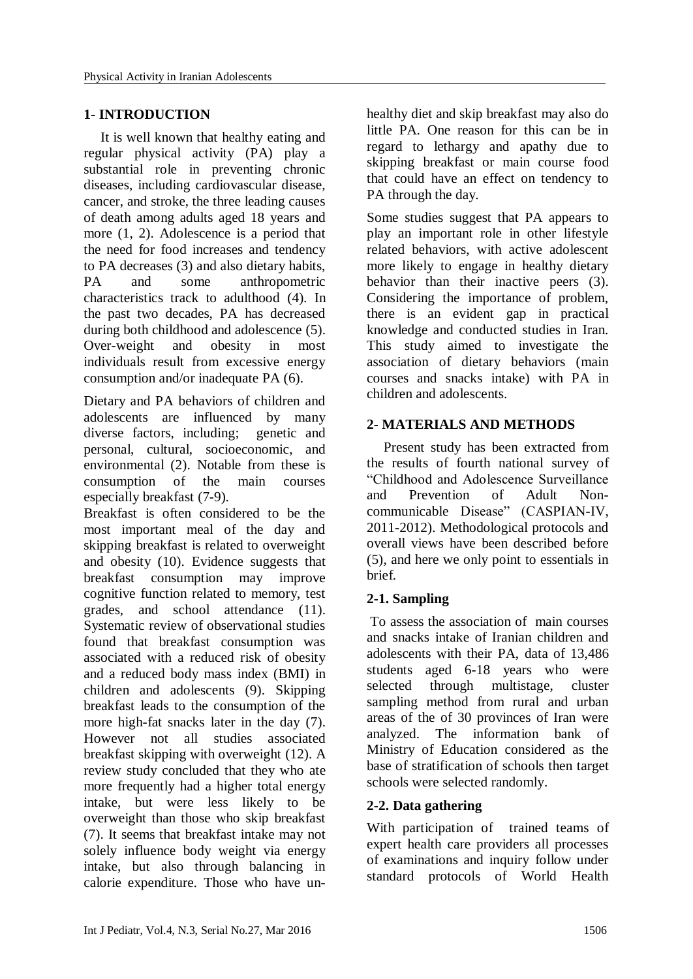# **1- INTRODUCTION**

It is well known that healthy eating and regular physical activity (PA) play a substantial role in preventing chronic diseases, including cardiovascular disease, cancer, and stroke, the three leading causes of death among adults aged 18 years and more [\(1,](#page-7-0) [2\)](#page-7-1). Adolescence is a period that the need for food increases and tendency to PA decreases [\(3\)](#page-7-2) and also dietary habits, PA and some anthropometric characteristics track to adulthood [\(4\)](#page-7-3). In the past two decades, PA has decreased during both childhood and adolescence [\(5\)](#page-7-4). Over-weight and obesity in most individuals result from excessive energy consumption and/or inadequate PA [\(6\)](#page-7-5).

Dietary and PA behaviors of children and adolescents are influenced by many diverse factors, including; genetic and personal, cultural, socioeconomic, and environmental [\(2\)](#page-7-1). Notable from these is consumption of the main courses especially breakfast [\(7-9\)](#page-7-6).

Breakfast is often considered to be the most important meal of the day and skipping breakfast is related to overweight and obesity [\(10\)](#page-7-7). Evidence suggests that breakfast consumption may improve cognitive function related to memory, test grades, and school attendance [\(11\)](#page-7-8). Systematic review of observational studies found that breakfast consumption was associated with a reduced risk of obesity and a reduced body mass index (BMI) in children and adolescents [\(9\)](#page-7-9). Skipping breakfast leads to the consumption of the more high-fat snacks later in the day [\(7\)](#page-7-6). However not all studies associated breakfast skipping with overweight [\(12\)](#page-7-10). A review study concluded that they who ate more frequently had a higher total energy intake, but were less likely to be overweight than those who skip breakfast [\(7\)](#page-7-6). It seems that breakfast intake may not solely influence body weight via energy intake, but also through balancing in calorie expenditure. Those who have unhealthy diet and skip breakfast may also do little PA. One reason for this can be in regard to lethargy and apathy due to skipping breakfast or main course food that could have an effect on tendency to PA through the day.

Some studies suggest that PA appears to play an important role in other lifestyle related behaviors, with active adolescent more likely to engage in healthy dietary behavior than their inactive peers [\(3\)](#page-7-2). Considering the importance of problem, there is an evident gap in practical knowledge and conducted studies in Iran. This study aimed to investigate the association of dietary behaviors (main courses and snacks intake) with PA in children and adolescents.

## **2- MATERIALS AND METHODS**

Present study has been extracted from the results of fourth national survey of "Childhood and Adolescence Surveillance and Prevention of Adult Noncommunicable Disease" (CASPIAN-IV, 2011-2012). Methodological protocols and overall views have been described before [\(5\)](#page-7-4), and here we only point to essentials in brief.

## **2-1. Sampling**

To assess the association of main courses and snacks intake of Iranian children and adolescents with their PA, data of 13,486 students aged 6-18 years who were selected through multistage, cluster sampling method from rural and urban areas of the of 30 provinces of Iran were analyzed. The information bank of Ministry of Education considered as the base of stratification of schools then target schools were selected randomly.

## **2-2. Data gathering**

With participation of trained teams of expert health care providers all processes of examinations and inquiry follow under standard protocols of World Health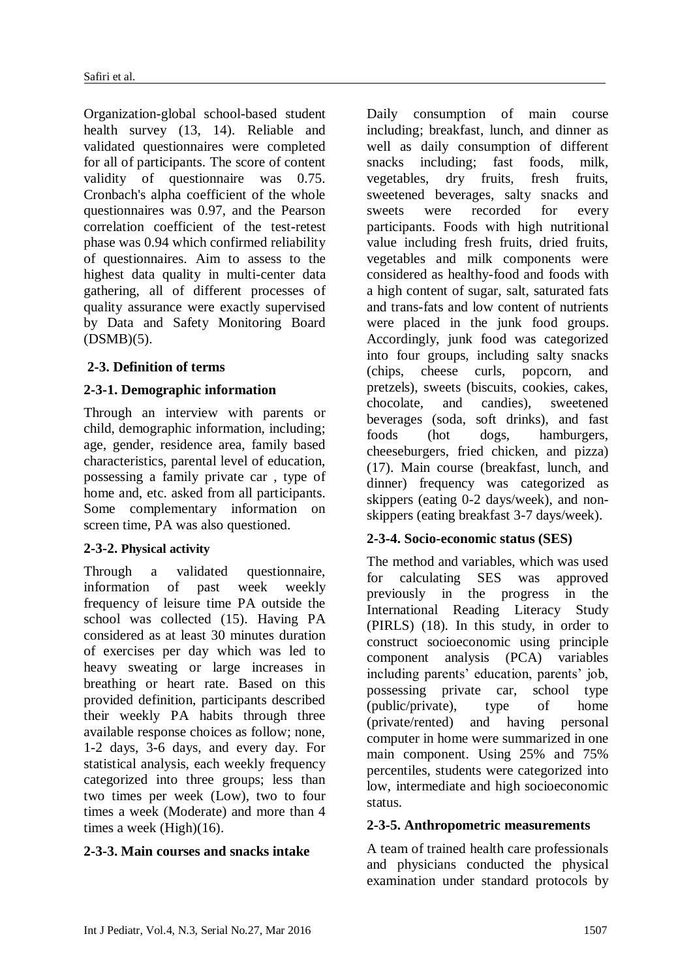Organization-global school-based student health survey [\(13,](#page-7-11) [14\)](#page-7-12). Reliable and validated questionnaires were completed for all of participants. The score of content validity of questionnaire was 0.75. Cronbach's alpha coefficient of the whole questionnaires was 0.97, and the Pearson correlation coefficient of the test-retest phase was 0.94 which confirmed reliability of questionnaires. Aim to assess to the highest data quality in multi-center data gathering, all of different processes of quality assurance were exactly supervised by Data and Safety Monitoring Board (DSMB)[\(5\)](#page-7-4).

## **2-3. Definition of terms**

## **2-3-1. Demographic information**

Through an interview with parents or child, demographic information, including; age, gender, residence area, family based characteristics, parental level of education, possessing a family private car , type of home and, etc. asked from all participants. Some complementary information on screen time, PA was also questioned.

## **2-3-2. Physical activity**

Through a validated questionnaire, information of past week weekly frequency of leisure time PA outside the school was collected [\(15\)](#page-7-13). Having PA considered as at least 30 minutes duration of exercises per day which was led to heavy sweating or large increases in breathing or heart rate. Based on this provided definition, participants described their weekly PA habits through three available response choices as follow; none, 1-2 days, 3-6 days, and every day. For statistical analysis, each weekly frequency categorized into three groups; less than two times per week (Low), two to four times a week (Moderate) and more than 4 times a week (High)[\(16\)](#page-7-14).

## **2-3-3. Main courses and snacks intake**

Daily consumption of main course including; breakfast, lunch, and dinner as well as daily consumption of different snacks including; fast foods, milk, vegetables, dry fruits, fresh fruits, sweetened beverages, salty snacks and sweets were recorded for every participants. Foods with high nutritional value including fresh fruits, dried fruits, vegetables and milk components were considered as healthy-food and foods with a high content of sugar, salt, saturated fats and trans-fats and low content of nutrients were placed in the junk food groups. Accordingly, junk food was categorized into four groups, including salty snacks (chips, cheese curls, popcorn, and pretzels), sweets (biscuits, cookies, cakes, chocolate, and candies), sweetened beverages (soda, soft drinks), and fast foods (hot dogs, hamburgers, cheeseburgers, fried chicken, and pizza) [\(17\)](#page-7-15). Main course (breakfast, lunch, and dinner) frequency was categorized as skippers (eating 0-2 days/week), and nonskippers (eating breakfast 3-7 days/week).

## **2-3-4. Socio-economic status (SES)**

The method and variables, which was used for calculating SES was approved previously in the progress in the International Reading Literacy Study (PIRLS) [\(18\)](#page-8-0). In this study, in order to construct socioeconomic using principle component analysis (PCA) variables including parents' education, parents' job, possessing private car, school type (public/private), type of home (private/rented) and having personal computer in home were summarized in one main component. Using 25% and 75% percentiles, students were categorized into low, intermediate and high socioeconomic status.

#### **2-3-5. Anthropometric measurements**

A team of trained health care professionals and physicians conducted the physical examination under standard protocols by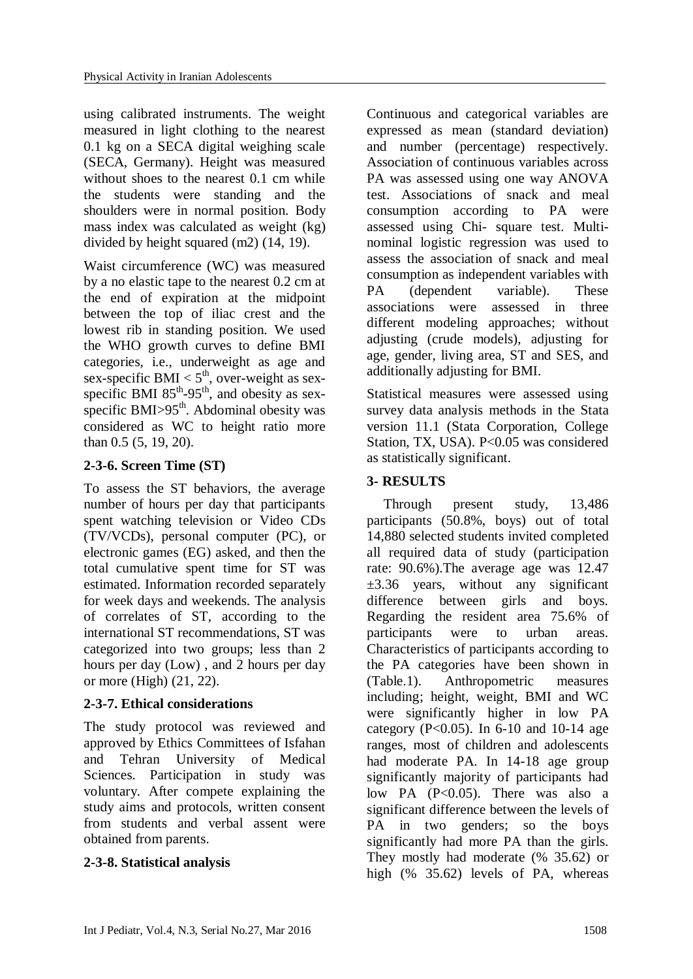using calibrated instruments. The weight measured in light clothing to the nearest 0.1 kg on a SECA digital weighing scale (SECA, Germany). Height was measured without shoes to the nearest 0.1 cm while the students were standing and the shoulders were in normal position. Body mass index was calculated as weight (kg) divided by height squared (m2) [\(14,](#page-7-12) [19\)](#page-8-1).

Waist circumference (WC) was measured by a no elastic tape to the nearest 0.2 cm at the end of expiration at the midpoint between the top of iliac crest and the lowest rib in standing position. We used the WHO growth curves to define BMI categories, i.e., underweight as age and sex-specific BMI  $< 5<sup>th</sup>$ , over-weight as sexspecific BMI  $85^{th}$ -95<sup>th</sup>, and obesity as sexspecific BMI $>95<sup>th</sup>$ . Abdominal obesity was considered as WC to height ratio more than 0.5 [\(5,](#page-7-4) [19,](#page-8-1) [20\)](#page-8-2).

## **2-3-6. Screen Time (ST)**

To assess the ST behaviors, the average number of hours per day that participants spent watching television or Video CDs (TV/VCDs), personal computer (PC), or electronic games (EG) asked, and then the total cumulative spent time for ST was estimated. Information recorded separately for week days and weekends. The analysis of correlates of ST, according to the international ST recommendations, ST was categorized into two groups; less than 2 hours per day (Low) , and 2 hours per day or more (High) [\(21,](#page-8-3) [22\)](#page-8-4).

## **2-3-7. Ethical considerations**

The study protocol was reviewed and approved by Ethics Committees of Isfahan and Tehran University of Medical Sciences. Participation in study was voluntary. After compete explaining the study aims and protocols, written consent from students and verbal assent were obtained from parents.

# **2-3-8. Statistical analysis**

Continuous and categorical variables are expressed as mean (standard deviation) and number (percentage) respectively. Association of continuous variables across PA was assessed using one way ANOVA test. Associations of snack and meal consumption according to PA were assessed using Chi- square test. Multinominal logistic regression was used to assess the association of snack and meal consumption as independent variables with PA (dependent variable). These associations were assessed in three different modeling approaches; without adjusting (crude models), adjusting for age, gender, living area, ST and SES, and additionally adjusting for BMI.

Statistical measures were assessed using survey data analysis methods in the Stata version 11.1 (Stata Corporation, College Station, TX, USA). P<0.05 was considered as statistically significant.

# **3- RESULTS**

Through present study, 13,486 participants (50.8%, boys) out of total 14,880 selected students invited completed all required data of study (participation rate: 90.6%).The average age was 12.47  $\pm 3.36$  years, without any significant difference between girls and boys. Regarding the resident area 75.6% of participants were to urban areas. Characteristics of participants according to the PA categories have been shown in (Table.1). Anthropometric measures including; height, weight, BMI and WC were significantly higher in low PA category (P< $0.05$ ). In 6-10 and 10-14 age ranges, most of children and adolescents had moderate PA. In 14-18 age group significantly majority of participants had low PA  $(P<0.05)$ . There was also a significant difference between the levels of PA in two genders; so the boys significantly had more PA than the girls. They mostly had moderate (% 35.62) or high (% 35.62) levels of PA, whereas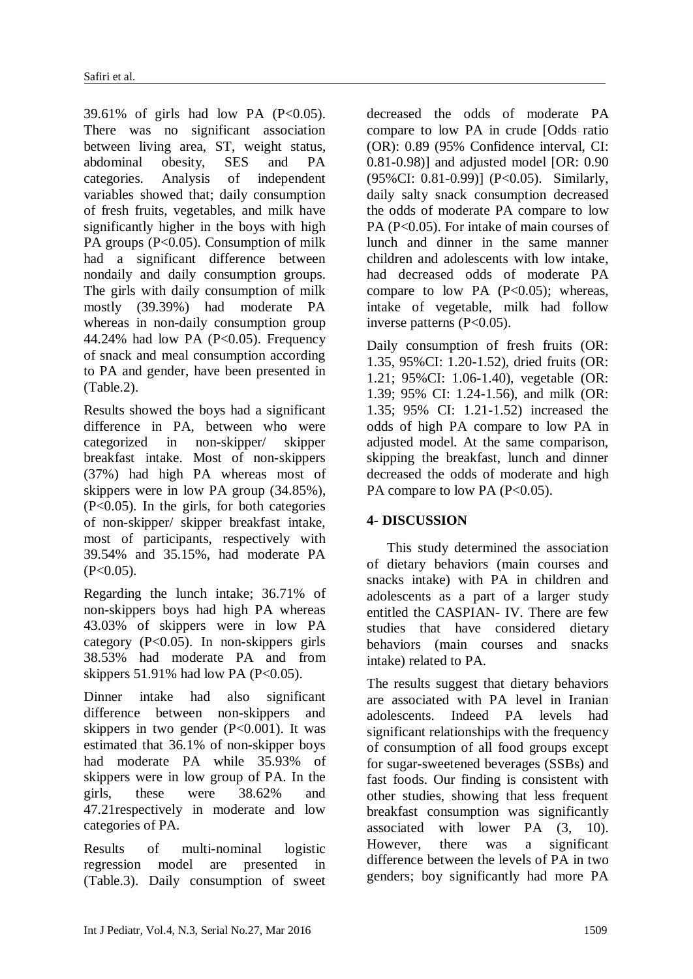39.61% of girls had low PA  $(P<0.05)$ . There was no significant association between living area, ST, weight status, abdominal obesity, SES and PA categories. Analysis of independent variables showed that; daily consumption of fresh fruits, vegetables, and milk have significantly higher in the boys with high PA groups (P<0.05). Consumption of milk had a significant difference between nondaily and daily consumption groups. The girls with daily consumption of milk mostly (39.39%) had moderate PA whereas in non-daily consumption group 44.24% had low PA  $(P<0.05)$ . Frequency of snack and meal consumption according to PA and gender, have been presented in (Table.2).

Results showed the boys had a significant difference in PA, between who were categorized in non-skipper/ skipper breakfast intake. Most of non-skippers (37%) had high PA whereas most of skippers were in low PA group (34.85%), (P<0.05). In the girls, for both categories of non-skipper/ skipper breakfast intake, most of participants, respectively with 39.54% and 35.15%, had moderate PA  $(P<0.05)$ .

Regarding the lunch intake; 36.71% of non-skippers boys had high PA whereas 43.03% of skippers were in low PA category (P<0.05). In non-skippers girls 38.53% had moderate PA and from skippers  $51.91\%$  had low PA (P<0.05).

Dinner intake had also significant difference between non-skippers and skippers in two gender  $(P<0.001)$ . It was estimated that 36.1% of non-skipper boys had moderate PA while 35.93% of skippers were in low group of PA. In the girls, these were 38.62% and 47.21respectively in moderate and low categories of PA.

Results of multi-nominal logistic regression model are presented in (Table.3). Daily consumption of sweet decreased the odds of moderate PA compare to low PA in crude [Odds ratio (OR): 0.89 (95% Confidence interval, CI: 0.81-0.98)] and adjusted model [OR: 0.90 (95%CI: 0.81-0.99)] (P<0.05). Similarly, daily salty snack consumption decreased the odds of moderate PA compare to low PA (P<0.05). For intake of main courses of lunch and dinner in the same manner children and adolescents with low intake, had decreased odds of moderate PA compare to low PA  $(P<0.05)$ ; whereas, intake of vegetable, milk had follow inverse patterns  $(P<0.05)$ .

Daily consumption of fresh fruits (OR: 1.35, 95%CI: 1.20-1.52), dried fruits (OR: 1.21; 95%CI: 1.06-1.40), vegetable (OR: 1.39; 95% CI: 1.24-1.56), and milk (OR: 1.35; 95% CI: 1.21-1.52) increased the odds of high PA compare to low PA in adjusted model. At the same comparison, skipping the breakfast, lunch and dinner decreased the odds of moderate and high PA compare to low PA (P<0.05).

# **4- DISCUSSION**

This study determined the association of dietary behaviors (main courses and snacks intake) with PA in children and adolescents as a part of a larger study entitled the CASPIAN- IV. There are few studies that have considered dietary behaviors (main courses and snacks intake) related to PA.

The results suggest that dietary behaviors are associated with PA level in Iranian adolescents. Indeed PA levels had significant relationships with the frequency of consumption of all food groups except for sugar-sweetened beverages (SSBs) and fast foods. Our finding is consistent with other studies, showing that less frequent breakfast consumption was significantly associated with lower PA [\(3,](#page-7-2) [10\)](#page-7-7). However, there was a significant difference between the levels of PA in two genders; boy significantly had more PA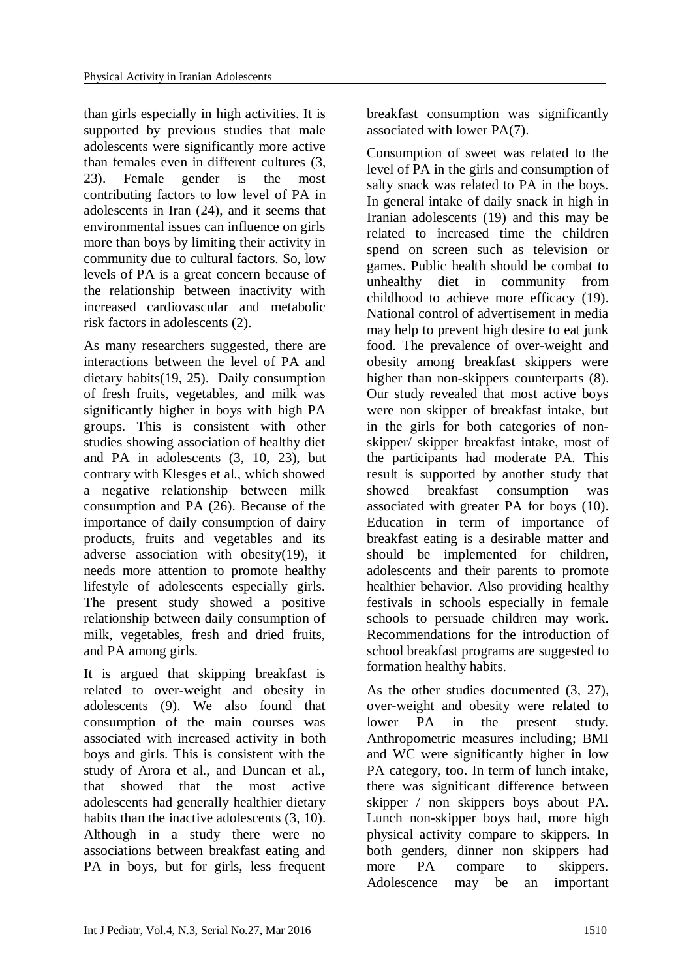than girls especially in high activities. It is supported by previous studies that male adolescents were significantly more active than females even in different cultures [\(3,](#page-7-2) [23\)](#page-8-5). Female gender is the most contributing factors to low level of PA in adolescents in Iran [\(24\)](#page-8-6), and it seems that environmental issues can influence on girls more than boys by limiting their activity in community due to cultural factors. So, low levels of PA is a great concern because of the relationship between inactivity with increased cardiovascular and metabolic risk factors in adolescents [\(2\)](#page-7-1).

As many researchers suggested, there are interactions between the level of PA and dietary habits[\(19,](#page-8-1) [25\)](#page-8-7). Daily consumption of fresh fruits, vegetables, and milk was significantly higher in boys with high PA groups. This is consistent with other studies showing association of healthy diet and PA in adolescents [\(3,](#page-7-2) [10,](#page-7-7) [23\)](#page-8-5), but contrary with Klesges et al., which showed a negative relationship between milk consumption and PA [\(26\)](#page-8-8). Because of the importance of daily consumption of dairy products, fruits and vegetables and its adverse association with obesity[\(19\)](#page-8-1), it needs more attention to promote healthy lifestyle of adolescents especially girls. The present study showed a positive relationship between daily consumption of milk, vegetables, fresh and dried fruits, and PA among girls.

It is argued that skipping breakfast is related to over-weight and obesity in adolescents [\(9\)](#page-7-9). We also found that consumption of the main courses was associated with increased activity in both boys and girls. This is consistent with the study of Arora et al., and Duncan et al., that showed that the most active adolescents had generally healthier dietary habits than the inactive adolescents [\(3,](#page-7-2) [10\)](#page-7-7). Although in a study there were no associations between breakfast eating and PA in boys, but for girls, less frequent breakfast consumption was significantly associated with lower PA[\(7\)](#page-7-6).

Consumption of sweet was related to the level of PA in the girls and consumption of salty snack was related to PA in the boys. In general intake of daily snack in high in Iranian adolescents [\(19\)](#page-8-1) and this may be related to increased time the children spend on screen such as television or games. Public health should be combat to unhealthy diet in community from childhood to achieve more efficacy [\(19\)](#page-8-1). National control of advertisement in media may help to prevent high desire to eat junk food. The prevalence of over-weight and obesity among breakfast skippers were higher than non-skippers counterparts [\(8\)](#page-7-16). Our study revealed that most active boys were non skipper of breakfast intake, but in the girls for both categories of nonskipper/ skipper breakfast intake, most of the participants had moderate PA. This result is supported by another study that showed breakfast consumption was associated with greater PA for boys [\(10\)](#page-7-7). Education in term of importance of breakfast eating is a desirable matter and should be implemented for children, adolescents and their parents to promote healthier behavior. Also providing healthy festivals in schools especially in female schools to persuade children may work. Recommendations for the introduction of school breakfast programs are suggested to formation healthy habits.

As the other studies documented [\(3,](#page-7-2) [27\)](#page-8-9), over-weight and obesity were related to lower PA in the present study. Anthropometric measures including; BMI and WC were significantly higher in low PA category, too. In term of lunch intake, there was significant difference between skipper / non skippers boys about PA. Lunch non-skipper boys had, more high physical activity compare to skippers. In both genders, dinner non skippers had more PA compare to skippers. Adolescence may be an important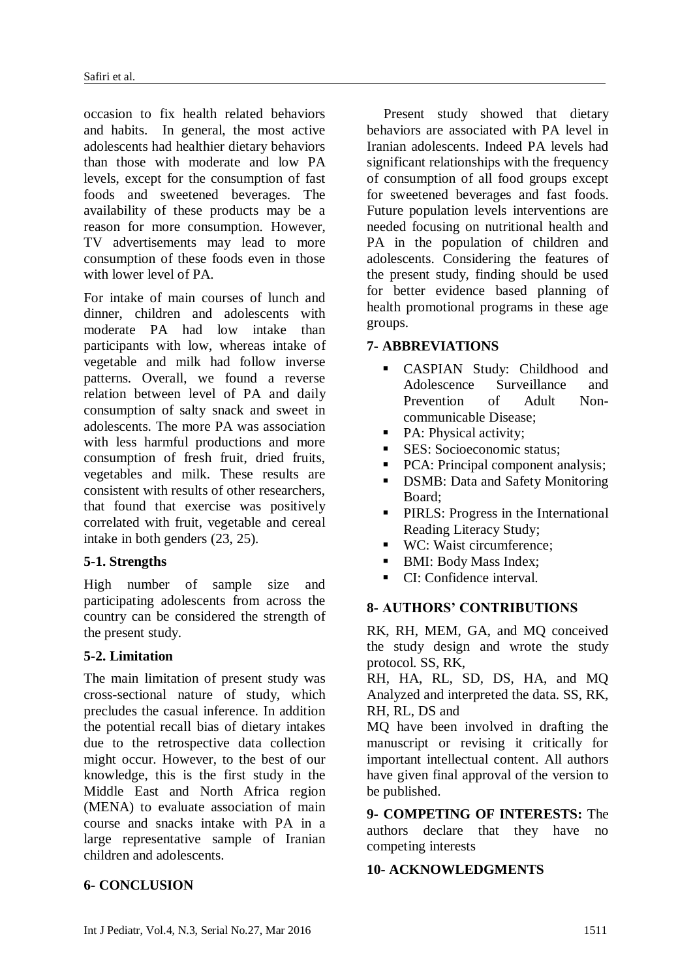occasion to fix health related behaviors and habits. In general, the most active adolescents had healthier dietary behaviors than those with moderate and low PA levels, except for the consumption of fast foods and sweetened beverages. The availability of these products may be a reason for more consumption. However, TV advertisements may lead to more consumption of these foods even in those with lower level of PA.

For intake of main courses of lunch and dinner, children and adolescents with moderate PA had low intake than participants with low, whereas intake of vegetable and milk had follow inverse patterns. Overall, we found a reverse relation between level of PA and daily consumption of salty snack and sweet in adolescents. The more PA was association with less harmful productions and more consumption of fresh fruit, dried fruits, vegetables and milk. These results are consistent with results of other researchers, that found that exercise was positively correlated with fruit, vegetable and cereal intake in both genders [\(23,](#page-8-5) [25\)](#page-8-7).

## **5-1. Strengths**

High number of sample size and participating adolescents from across the country can be considered the strength of the present study.

## **5-2. Limitation**

The main limitation of present study was cross-sectional nature of study, which precludes the casual inference. In addition the potential recall bias of dietary intakes due to the retrospective data collection might occur. However, to the best of our knowledge, this is the first study in the Middle East and North Africa region (MENA) to evaluate association of main course and snacks intake with PA in a large representative sample of Iranian children and adolescents.

## **6- CONCLUSION**

Present study showed that dietary behaviors are associated with PA level in Iranian adolescents. Indeed PA levels had significant relationships with the frequency of consumption of all food groups except for sweetened beverages and fast foods. Future population levels interventions are needed focusing on nutritional health and PA in the population of children and adolescents. Considering the features of the present study, finding should be used for better evidence based planning of health promotional programs in these age groups.

## **7- ABBREVIATIONS**

- CASPIAN Study: Childhood and Adolescence Surveillance and Prevention of Adult Noncommunicable Disease;
- PA: Physical activity;
- SES: Socioeconomic status:
- PCA: Principal component analysis;
- DSMB: Data and Safety Monitoring Board;
- **PIRLS:** Progress in the International Reading Literacy Study;
- WC: Waist circumference;
- BMI: Body Mass Index;
- CI: Confidence interval.

#### **8- AUTHORS' CONTRIBUTIONS**

RK, RH, MEM, GA, and MQ conceived the study design and wrote the study protocol. SS, RK,

RH, HA, RL, SD, DS, HA, and MQ Analyzed and interpreted the data. SS, RK, RH, RL, DS and

MQ have been involved in drafting the manuscript or revising it critically for important intellectual content. All authors have given final approval of the version to be published.

**9- COMPETING OF INTERESTS:** The authors declare that they have no competing interests

## **10- ACKNOWLEDGMENTS**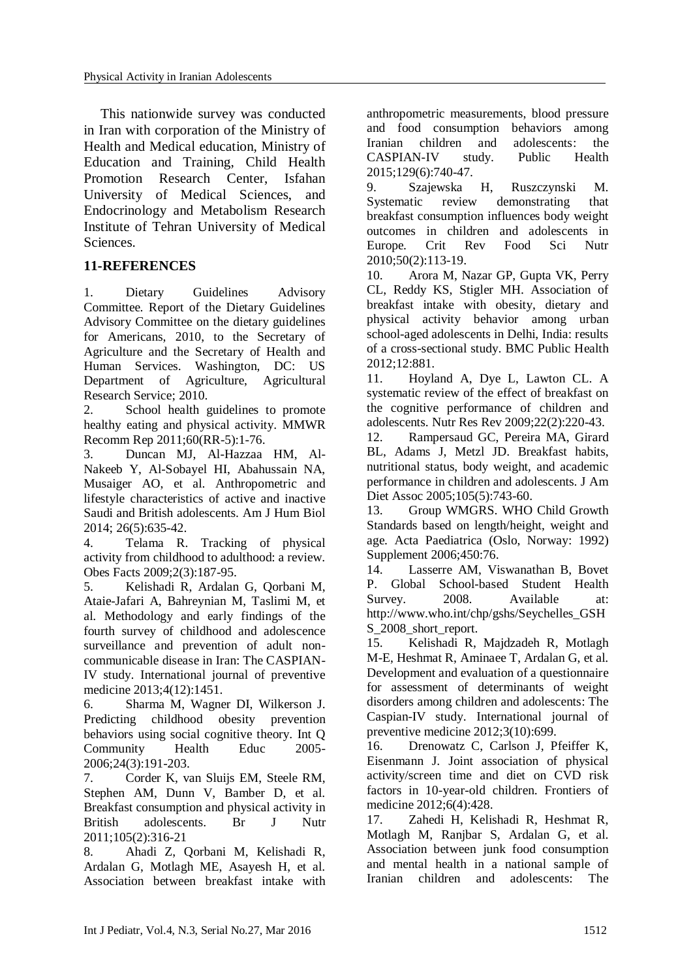This nationwide survey was conducted in Iran with corporation of the Ministry of Health and Medical education, Ministry of Education and Training, Child Health Promotion Research Center, Isfahan University of Medical Sciences, and Endocrinology and Metabolism Research Institute of Tehran University of Medical **Sciences** 

## **11-REFERENCES**

<span id="page-7-0"></span>1. Dietary Guidelines Advisory Committee. Report of the Dietary Guidelines Advisory Committee on the dietary guidelines for Americans, 2010, to the Secretary of Agriculture and the Secretary of Health and Human Services. Washington, DC: US Department of Agriculture, Agricultural Research Service; 2010.

<span id="page-7-1"></span>2. School health guidelines to promote healthy eating and physical activity. MMWR Recomm Rep 2011;60(RR-5):1-76.

<span id="page-7-2"></span>3. Duncan MJ, Al-Hazzaa HM, Al-Nakeeb Y, Al-Sobayel HI, Abahussain NA, Musaiger AO, et al. Anthropometric and lifestyle characteristics of active and inactive Saudi and British adolescents. Am J Hum Biol 2014; 26(5):635-42.

<span id="page-7-3"></span>4. Telama R. Tracking of physical activity from childhood to adulthood: a review. Obes Facts 2009;2(3):187-95.

<span id="page-7-4"></span>5. Kelishadi R, Ardalan G, Qorbani M, Ataie-Jafari A, Bahreynian M, Taslimi M, et al. Methodology and early findings of the fourth survey of childhood and adolescence surveillance and prevention of adult noncommunicable disease in Iran: The CASPIAN-IV study. International journal of preventive medicine 2013;4(12):1451.

<span id="page-7-5"></span>6. Sharma M, Wagner DI, Wilkerson J. Predicting childhood obesity prevention behaviors using social cognitive theory. Int Q Community Health Educ 2005- 2006;24(3):191-203.

<span id="page-7-6"></span>7. Corder K, van Sluijs EM, Steele RM, Stephen AM, Dunn V, Bamber D, et al. Breakfast consumption and physical activity in British adolescents. Br J Nutr 2011;105(2):316-21

<span id="page-7-16"></span>8. Ahadi Z, Qorbani M, Kelishadi R, Ardalan G, Motlagh ME, Asayesh H, et al. Association between breakfast intake with anthropometric measurements, blood pressure and food consumption behaviors among Iranian children and adolescents: the CASPIAN-IV study. Public Health 2015;129(6):740-47.

<span id="page-7-9"></span>9. Szajewska H, Ruszczynski M. Systematic review demonstrating that breakfast consumption influences body weight outcomes in children and adolescents in Europe. Crit Rev Food Sci Nutr 2010;50(2):113-19.

<span id="page-7-7"></span>10. Arora M, Nazar GP, Gupta VK, Perry CL, Reddy KS, Stigler MH. Association of breakfast intake with obesity, dietary and physical activity behavior among urban school-aged adolescents in Delhi, India: results of a cross-sectional study. BMC Public Health 2012;12:881.

<span id="page-7-8"></span>11. Hoyland A, Dye L, Lawton CL. A systematic review of the effect of breakfast on the cognitive performance of children and adolescents. Nutr Res Rev 2009;22(2):220-43.

<span id="page-7-10"></span>12. Rampersaud GC, Pereira MA, Girard BL, Adams J, Metzl JD. Breakfast habits, nutritional status, body weight, and academic performance in children and adolescents. J Am Diet Assoc 2005;105(5):743-60.

<span id="page-7-11"></span>13. Group WMGRS. WHO Child Growth Standards based on length/height, weight and age. Acta Paediatrica (Oslo, Norway: 1992) Supplement 2006;450:76.

<span id="page-7-12"></span>14. Lasserre AM, Viswanathan B, Bovet P. Global School-based Student Health Survey. 2008. Available at: http://www.who.int/chp/gshs/Seychelles\_GSH S 2008 short report.

<span id="page-7-13"></span>15. Kelishadi R, Majdzadeh R, Motlagh M-E, Heshmat R, Aminaee T, Ardalan G, et al. Development and evaluation of a questionnaire for assessment of determinants of weight disorders among children and adolescents: The Caspian-IV study. International journal of preventive medicine 2012;3(10):699.

<span id="page-7-14"></span>16. Drenowatz C, Carlson J, Pfeiffer K, Eisenmann J. Joint association of physical activity/screen time and diet on CVD risk factors in 10-year-old children. Frontiers of medicine 2012;6(4):428.

<span id="page-7-15"></span>17. Zahedi H, Kelishadi R, Heshmat R, Motlagh M, Ranjbar S, Ardalan G, et al. Association between junk food consumption and mental health in a national sample of Iranian children and adolescents: The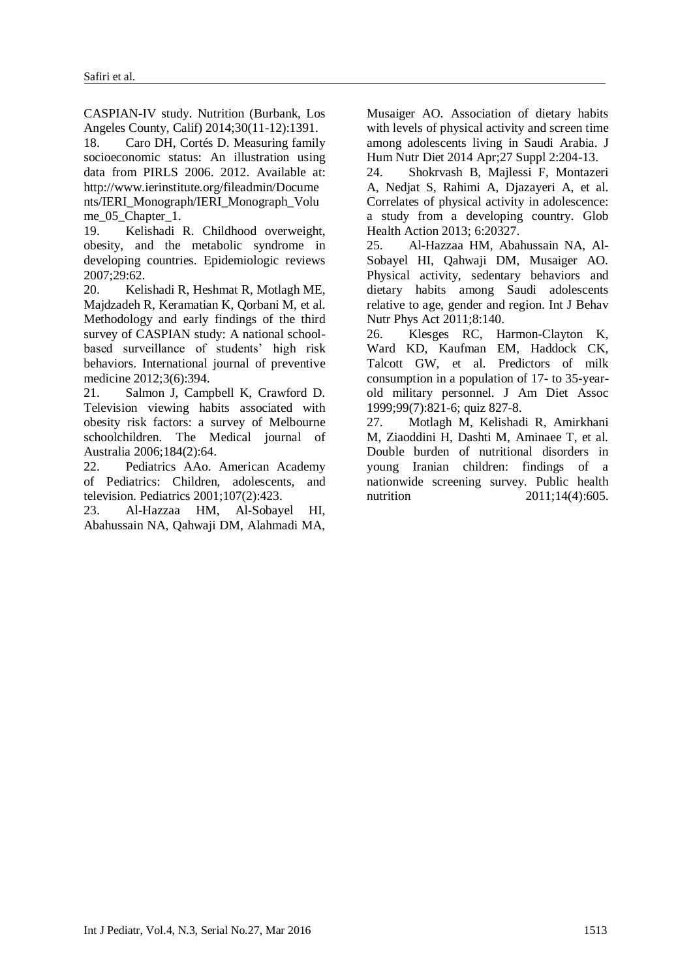CASPIAN-IV study. Nutrition (Burbank, Los Angeles County, Calif) 2014;30(11-12):1391.

<span id="page-8-0"></span>18. Caro DH, Cortés D. Measuring family socioeconomic status: An illustration using data from PIRLS 2006. 2012. Available at: http://www.ierinstitute.org/fileadmin/Docume nts/IERI\_Monograph/IERI\_Monograph\_Volu me 05 Chapter 1.

<span id="page-8-1"></span>19. Kelishadi R. Childhood overweight, obesity, and the metabolic syndrome in developing countries. Epidemiologic reviews 2007;29:62.

<span id="page-8-2"></span>20. Kelishadi R, Heshmat R, Motlagh ME, Majdzadeh R, Keramatian K, Qorbani M, et al. Methodology and early findings of the third survey of CASPIAN study: A national schoolbased surveillance of students' high risk behaviors. International journal of preventive medicine 2012;3(6):394.

<span id="page-8-3"></span>21. Salmon J, Campbell K, Crawford D. Television viewing habits associated with obesity risk factors: a survey of Melbourne schoolchildren. The Medical journal of Australia 2006;184(2):64.

<span id="page-8-4"></span>22. Pediatrics AAo. American Academy of Pediatrics: Children, adolescents, and television. Pediatrics 2001;107(2):423.

<span id="page-8-5"></span>23. Al-Hazzaa HM, Al-Sobayel HI, Abahussain NA, Qahwaji DM, Alahmadi MA,

Musaiger AO. Association of dietary habits with levels of physical activity and screen time among adolescents living in Saudi Arabia. J Hum Nutr Diet 2014 Apr;27 Suppl 2:204-13.

<span id="page-8-6"></span>24. Shokrvash B, Majlessi F, Montazeri A, Nedjat S, Rahimi A, Djazayeri A, et al. Correlates of physical activity in adolescence: a study from a developing country. Glob Health Action 2013; 6:20327.

<span id="page-8-7"></span>25. Al-Hazzaa HM, Abahussain NA, Al-Sobayel HI, Qahwaji DM, Musaiger AO. Physical activity, sedentary behaviors and dietary habits among Saudi adolescents relative to age, gender and region. Int J Behav Nutr Phys Act 2011;8:140.

<span id="page-8-8"></span>26. Klesges RC, Harmon-Clayton K, Ward KD, Kaufman EM, Haddock CK, Talcott GW, et al. Predictors of milk consumption in a population of 17- to 35-yearold military personnel. J Am Diet Assoc 1999;99(7):821-6; quiz 827-8.

<span id="page-8-9"></span>27. Motlagh M, Kelishadi R, Amirkhani M, Ziaoddini H, Dashti M, Aminaee T, et al. Double burden of nutritional disorders in young Iranian children: findings of a nationwide screening survey. Public health nutrition 2011;14(4):605.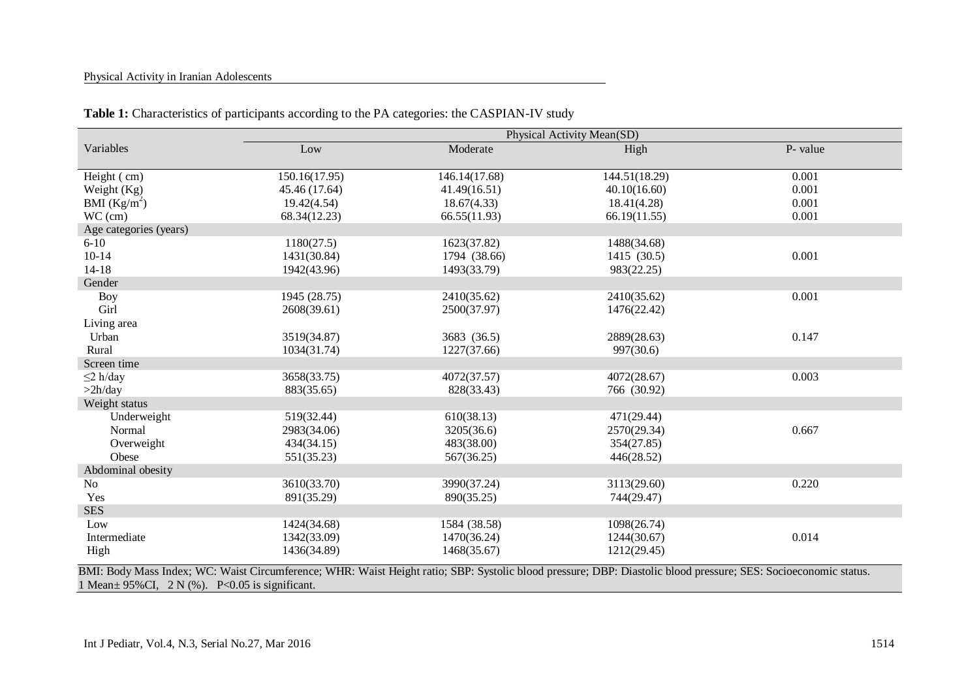#### Physical Activity in Iranian Adolescents

|                        | Physical Activity Mean(SD) |               |               |          |  |
|------------------------|----------------------------|---------------|---------------|----------|--|
| Variables              | Low                        | Moderate      | High          | P- value |  |
|                        |                            |               |               |          |  |
| Height (cm)            | 150.16(17.95)              | 146.14(17.68) | 144.51(18.29) | 0.001    |  |
| Weight (Kg)            | 45.46 (17.64)              | 41.49(16.51)  | 40.10(16.60)  | 0.001    |  |
| BMI $(Kg/m^2)$         | 19.42(4.54)                | 18.67(4.33)   | 18.41(4.28)   | 0.001    |  |
| $WC$ (cm)              | 68.34(12.23)               | 66.55(11.93)  | 66.19(11.55)  | 0.001    |  |
| Age categories (years) |                            |               |               |          |  |
| $6 - 10$               | 1180(27.5)                 | 1623(37.82)   | 1488(34.68)   |          |  |
| $10 - 14$              | 1431(30.84)                | 1794 (38.66)  | 1415 (30.5)   | 0.001    |  |
| $14 - 18$              | 1942(43.96)                | 1493(33.79)   | 983(22.25)    |          |  |
| Gender                 |                            |               |               |          |  |
| Boy                    | 1945 (28.75)               | 2410(35.62)   | 2410(35.62)   | 0.001    |  |
| Girl                   | 2608(39.61)                | 2500(37.97)   | 1476(22.42)   |          |  |
| Living area            |                            |               |               |          |  |
| Urban                  | 3519(34.87)                | 3683 (36.5)   | 2889(28.63)   | 0.147    |  |
| Rural                  | 1034(31.74)                | 1227(37.66)   | 997(30.6)     |          |  |
| Screen time            |                            |               |               |          |  |
| $\leq$ 2 h/day         | 3658(33.75)                | 4072(37.57)   | 4072(28.67)   | 0.003    |  |
| >2h/day                | 883(35.65)                 | 828(33.43)    | 766 (30.92)   |          |  |
| Weight status          |                            |               |               |          |  |
| Underweight            | 519(32.44)                 | 610(38.13)    | 471(29.44)    |          |  |
| Normal                 | 2983(34.06)                | 3205(36.6)    | 2570(29.34)   | 0.667    |  |
| Overweight             | 434(34.15)                 | 483(38.00)    | 354(27.85)    |          |  |
| Obese                  | 551(35.23)                 | 567(36.25)    | 446(28.52)    |          |  |
| Abdominal obesity      |                            |               |               |          |  |
| No                     | 3610(33.70)                | 3990(37.24)   | 3113(29.60)   | 0.220    |  |
| Yes                    | 891(35.29)                 | 890(35.25)    | 744(29.47)    |          |  |
| <b>SES</b>             |                            |               |               |          |  |
| Low                    | 1424(34.68)                | 1584 (38.58)  | 1098(26.74)   |          |  |
| Intermediate           | 1342(33.09)                | 1470(36.24)   | 1244(30.67)   | 0.014    |  |
| High                   | 1436(34.89)                | 1468(35.67)   | 1212(29.45)   |          |  |
|                        |                            |               |               |          |  |

#### Table 1: Characteristics of participants according to the PA categories: the CASPIAN-IV study

BMI: Body Mass Index; WC: Waist Circumference; WHR: Waist Height ratio; SBP: Systolic blood pressure; DBP: Diastolic blood pressure; SES: Socioeconomic status. 1 Mean $\pm$  95%CI, 2 N (%). P<0.05 is significant.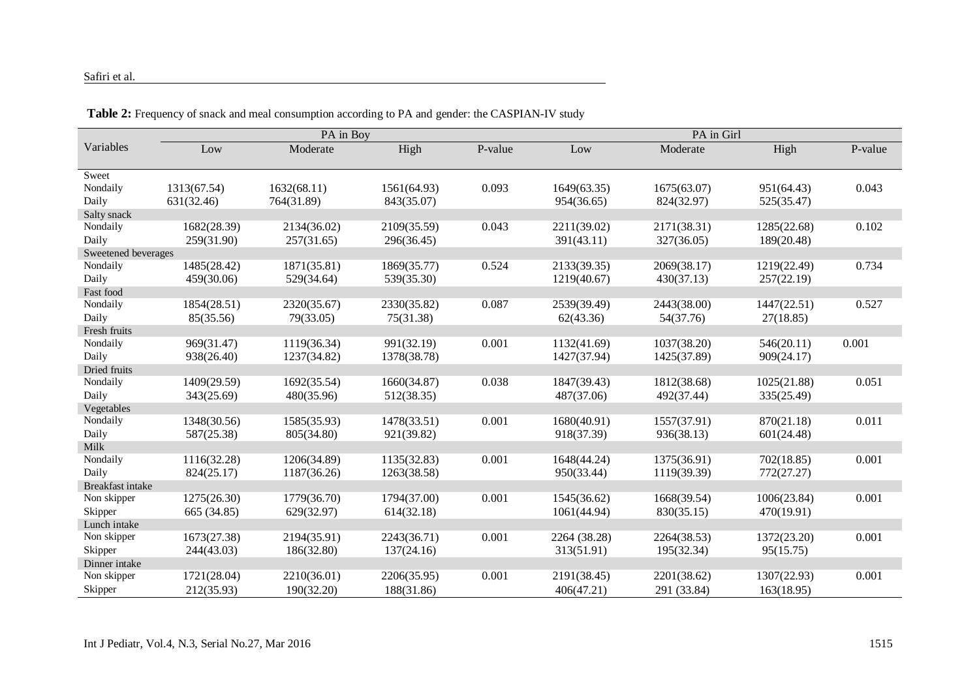#### Safiri et al.

| High<br>P-value      |
|----------------------|
|                      |
|                      |
|                      |
| 951(64.43)<br>0.043  |
| 525(35.47)           |
|                      |
| 0.102<br>1285(22.68) |
| 189(20.48)           |
|                      |
| 0.734<br>1219(22.49) |
| 257(22.19)           |
|                      |
| 1447(22.51)<br>0.527 |
| 27(18.85)            |
|                      |
| 546(20.11)<br>0.001  |
| 909(24.17)           |
|                      |
| 0.051<br>1025(21.88) |
| 335(25.49)           |
|                      |
| 0.011<br>870(21.18)  |
| 601(24.48)           |
|                      |
| 702(18.85)<br>0.001  |
| 772(27.27)           |
|                      |
| 1006(23.84)<br>0.001 |
| 470(19.91)           |
|                      |
| 0.001<br>1372(23.20) |
| 95(15.75)            |
|                      |
| 0.001<br>1307(22.93) |
| 163(18.95)           |
|                      |

**Table 2:** Frequency of snack and meal consumption according to PA and gender: the CASPIAN-IV study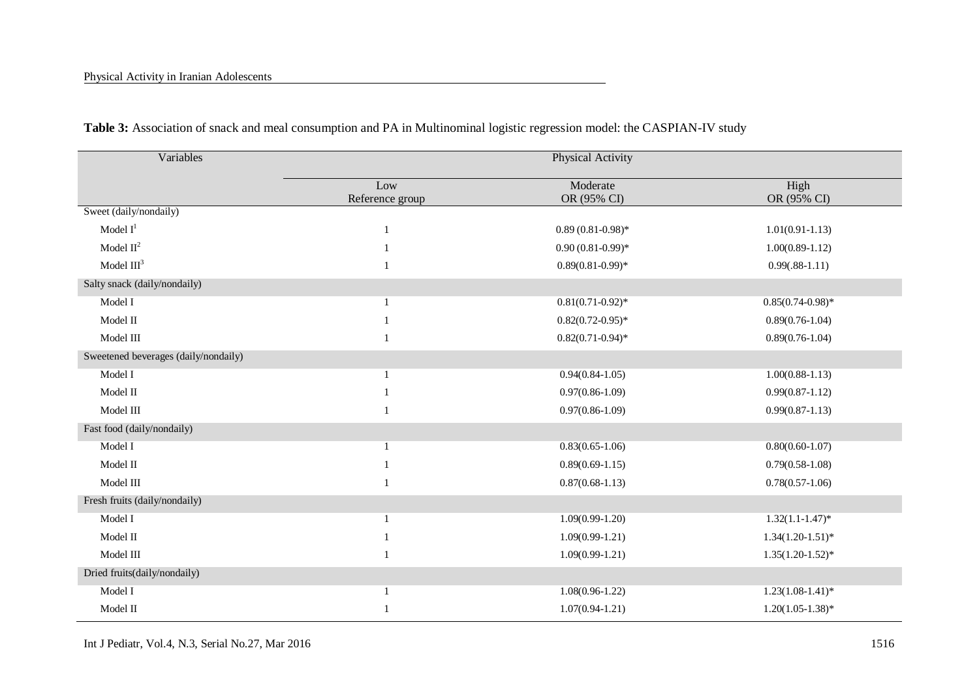| Variables                            | Physical Activity      |                         |                     |  |
|--------------------------------------|------------------------|-------------------------|---------------------|--|
|                                      | Low<br>Reference group | Moderate<br>OR (95% CI) | High<br>OR (95% CI) |  |
| Sweet (daily/nondaily)               |                        |                         |                     |  |
| Model $I1$                           | $\mathbf{1}$           | $0.89(0.81-0.98)$ *     | $1.01(0.91 - 1.13)$ |  |
| Model $II^2$                         |                        | $0.90(0.81-0.99)$ *     | $1.00(0.89-1.12)$   |  |
| Model $III3$                         | $\mathbf{1}$           | $0.89(0.81 - 0.99)*$    | $0.99(.88-1.11)$    |  |
| Salty snack (daily/nondaily)         |                        |                         |                     |  |
| Model I                              | 1                      | $0.81(0.71-0.92)$ *     | $0.85(0.74-0.98)*$  |  |
| Model II                             |                        | $0.82(0.72-0.95)$ *     | $0.89(0.76-1.04)$   |  |
| Model III                            |                        | $0.82(0.71-0.94)$ *     | $0.89(0.76-1.04)$   |  |
| Sweetened beverages (daily/nondaily) |                        |                         |                     |  |
| Model I                              | 1                      | $0.94(0.84-1.05)$       | $1.00(0.88-1.13)$   |  |
| Model II                             |                        | $0.97(0.86 - 1.09)$     | $0.99(0.87-1.12)$   |  |
| Model III                            |                        | $0.97(0.86 - 1.09)$     | $0.99(0.87-1.13)$   |  |
| Fast food (daily/nondaily)           |                        |                         |                     |  |
| Model I                              |                        | $0.83(0.65 - 1.06)$     | $0.80(0.60-1.07)$   |  |
| Model II                             |                        | $0.89(0.69-1.15)$       | $0.79(0.58-1.08)$   |  |
| Model III                            | 1                      | $0.87(0.68-1.13)$       | $0.78(0.57-1.06)$   |  |
| Fresh fruits (daily/nondaily)        |                        |                         |                     |  |
| Model I                              |                        | $1.09(0.99-1.20)$       | $1.32(1.1-1.47)$ *  |  |
| Model II                             |                        | $1.09(0.99-1.21)$       | $1.34(1.20-1.51)$ * |  |
| Model III                            |                        | $1.09(0.99-1.21)$       | $1.35(1.20-1.52)$ * |  |
| Dried fruits(daily/nondaily)         |                        |                         |                     |  |
| Model I                              |                        | $1.08(0.96 - 1.22)$     | $1.23(1.08-1.41)^*$ |  |
| Model II                             |                        | $1.07(0.94 - 1.21)$     | $1.20(1.05-1.38)$ * |  |

**Table 3:** Association of snack and meal consumption and PA in Multinominal logistic regression model: the CASPIAN-IV study